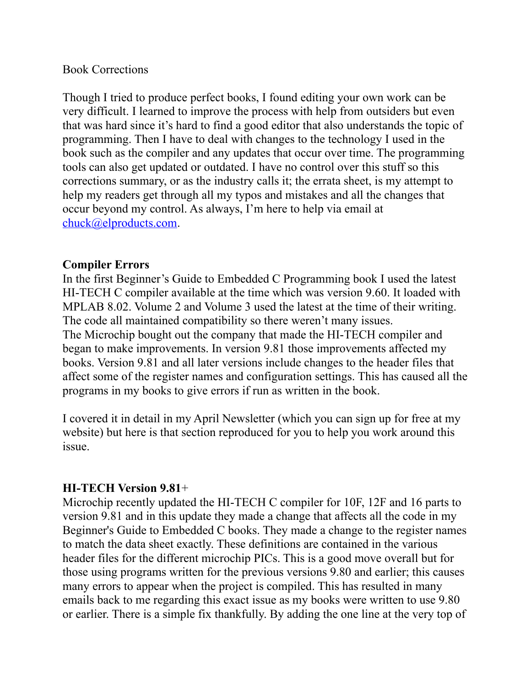### Book Corrections

Though I tried to produce perfect books, I found editing your own work can be very difficult. I learned to improve the process with help from outsiders but even that was hard since it's hard to find a good editor that also understands the topic of programming. Then I have to deal with changes to the technology I used in the book such as the compiler and any updates that occur over time. The programming tools can also get updated or outdated. I have no control over this stuff so this corrections summary, or as the industry calls it; the errata sheet, is my attempt to help my readers get through all my typos and mistakes and all the changes that occur beyond my control. As always, I'm here to help via email at [chuck@elproducts.com.](mailto:chuck@elproducts.com)

### **Compiler Errors**

In the first Beginner's Guide to Embedded C Programming book I used the latest HI-TECH C compiler available at the time which was version 9.60. It loaded with MPLAB 8.02. Volume 2 and Volume 3 used the latest at the time of their writing. The code all maintained compatibility so there weren't many issues. The Microchip bought out the company that made the HI-TECH compiler and began to make improvements. In version 9.81 those improvements affected my books. Version 9.81 and all later versions include changes to the header files that affect some of the register names and configuration settings. This has caused all the programs in my books to give errors if run as written in the book.

I covered it in detail in my April Newsletter (which you can sign up for free at my website) but here is that section reproduced for you to help you work around this issue.

# **HI-TECH Version 9.81**+

Microchip recently updated the HI-TECH C compiler for 10F, 12F and 16 parts to version 9.81 and in this update they made a change that affects all the code in my Beginner's Guide to Embedded C books. They made a change to the register names to match the data sheet exactly. These definitions are contained in the various header files for the different microchip PICs. This is a good move overall but for those using programs written for the previous versions 9.80 and earlier; this causes many errors to appear when the project is compiled. This has resulted in many emails back to me regarding this exact issue as my books were written to use 9.80 or earlier. There is a simple fix thankfully. By adding the one line at the very top of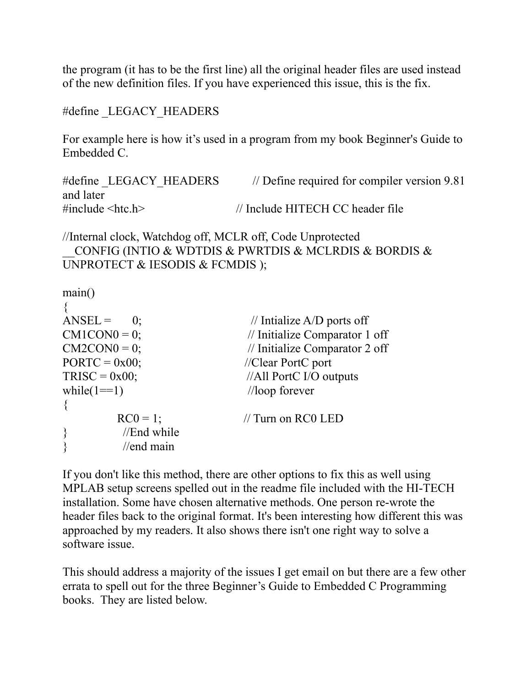the program (it has to be the first line) all the original header files are used instead of the new definition files. If you have experienced this issue, this is the fix.

#define LEGACY HEADERS

For example here is how it's used in a program from my book Beginner's Guide to Embedded C.

#define LEGACY HEADERS // Define required for compiler version 9.81 and later #include <htc.h> // Include HITECH CC header file

//Internal clock, Watchdog off, MCLR off, Code Unprotected \_\_CONFIG (INTIO & WDTDIS & PWRTDIS & MCLRDIS & BORDIS & UNPROTECT & IESODIS & FCMDIS);

main() {  $ANSEL = 0;$  // Intialize A/D ports off  $CM1CON0 = 0$ ; // Initialize Comparator 1 off  $CM2CON0 = 0$ ; // Initialize Comparator 2 off  $PORTC = 0x00$ ; //Clear PortC port  $TRISC = 0x00;$  //All PortC I/O outputs while( $1 == 1$ ) //loop forever {  $RC0 = 1$ ; // Turn on RC0 LED  $\}$  //End while } //end main

If you don't like this method, there are other options to fix this as well using MPLAB setup screens spelled out in the readme file included with the HI-TECH installation. Some have chosen alternative methods. One person re-wrote the header files back to the original format. It's been interesting how different this was approached by my readers. It also shows there isn't one right way to solve a software issue.

This should address a majority of the issues I get email on but there are a few other errata to spell out for the three Beginner's Guide to Embedded C Programming books. They are listed below.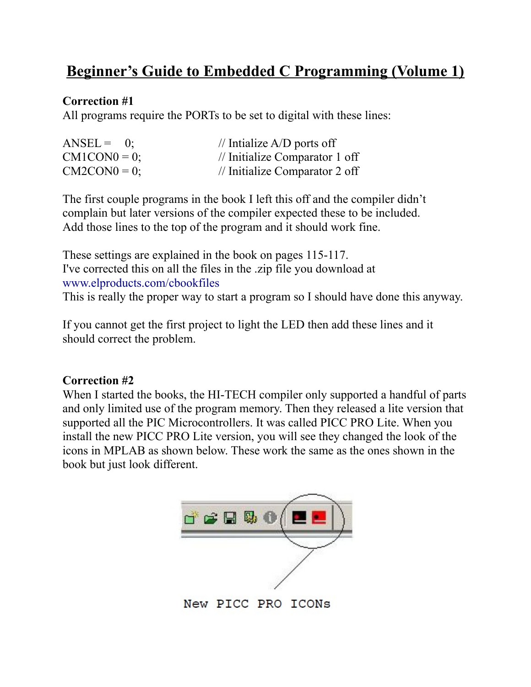# **Beginner's Guide to Embedded C Programming (Volume 1)**

# **Correction #1**

All programs require the PORTs to be set to digital with these lines:

| $ANSEL = 0$ ;   | // Intialize $A/D$ ports off   |
|-----------------|--------------------------------|
| $CM1CON0 = 0$ ; | // Initialize Comparator 1 off |
| $CM2CON0 = 0$ ; | // Initialize Comparator 2 off |

The first couple programs in the book I left this off and the compiler didn't complain but later versions of the compiler expected these to be included. Add those lines to the top of the program and it should work fine.

These settings are explained in the book on pages 115-117. I've corrected this on all the files in the .zip file you download at www.elproducts.com/cbookfiles This is really the proper way to start a program so I should have done this anyway.

If you cannot get the first project to light the LED then add these lines and it should correct the problem.

# **Correction #2**

When I started the books, the HI-TECH compiler only supported a handful of parts and only limited use of the program memory. Then they released a lite version that supported all the PIC Microcontrollers. It was called PICC PRO Lite. When you install the new PICC PRO Lite version, you will see they changed the look of the icons in MPLAB as shown below. These work the same as the ones shown in the book but just look different.



New PICC PRO ICONS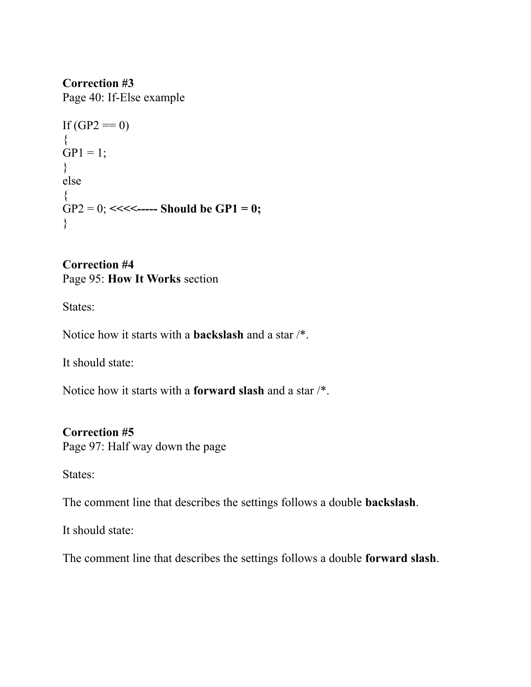**Correction #3** Page 40: If-Else example

```
If (GP2 == 0){
GP1 = 1;
}
else
{
GP2 = 0; <<<<----- Should be GP1 = 0;
}
```
**Correction #4** Page 95: **How It Works** section

States:

Notice how it starts with a **backslash** and a star /\*.

It should state:

Notice how it starts with a **forward slash** and a star /\*.

# **Correction #5**

Page 97: Half way down the page

States:

The comment line that describes the settings follows a double **backslash**.

It should state:

The comment line that describes the settings follows a double **forward slash**.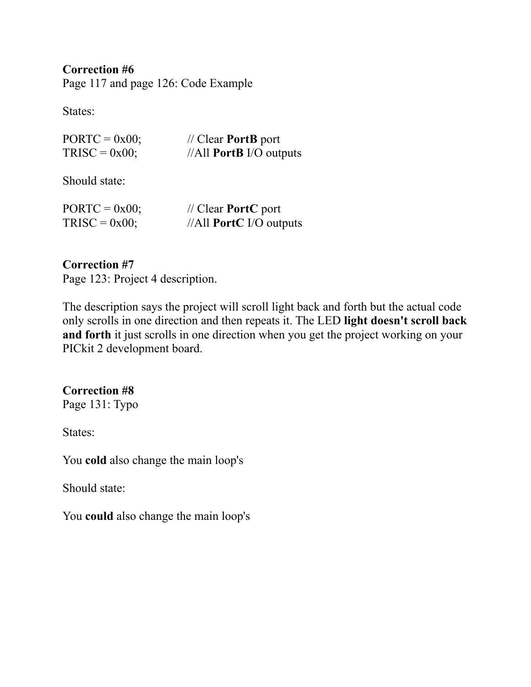**Correction #6** Page 117 and page 126: Code Example

States:

| $PORTC = 0x00;$ | $\frac{1}{2}$ Clear <b>PortB</b> port |
|-----------------|---------------------------------------|
| $TRISC = 0x00;$ | //All <b>PortB</b> I/O outputs        |

Should state:

| $PORTC = 0x00;$ | $\mathcal{U}$ Clear <b>PortC</b> port |
|-----------------|---------------------------------------|
| $TRISC = 0x00;$ | $//All$ PortC I/O outputs             |

### **Correction #7**

Page 123: Project 4 description.

The description says the project will scroll light back and forth but the actual code only scrolls in one direction and then repeats it. The LED **light doesn't scroll back and forth** it just scrolls in one direction when you get the project working on your PICkit 2 development board.

# **Correction #8**

Page 131: Typo

States:

You **cold** also change the main loop's

Should state:

You **could** also change the main loop's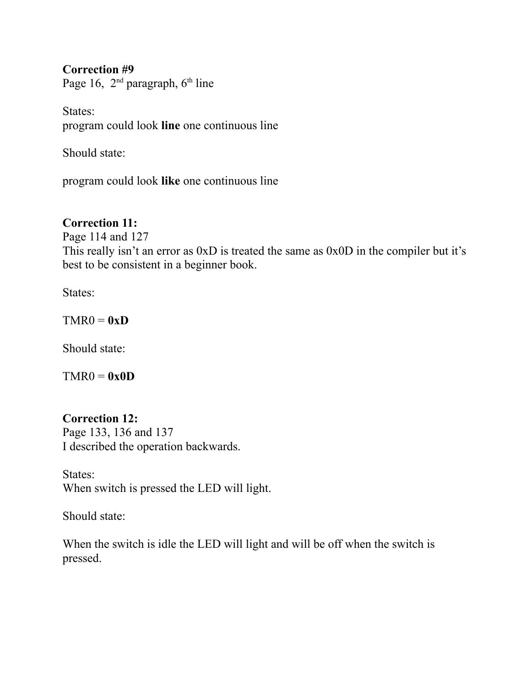### **Correction #9**

Page 16, 2<sup>nd</sup> paragraph, 6<sup>th</sup> line

States: program could look **line** one continuous line

Should state:

program could look **like** one continuous line

# **Correction 11:**

Page 114 and 127 This really isn't an error as 0xD is treated the same as 0x0D in the compiler but it's best to be consistent in a beginner book.

States:

 $TMR0 = 0xD$ 

Should state:

 $TMR0 = 0x0D$ 

# **Correction 12:**

Page 133, 136 and 137 I described the operation backwards.

States: When switch is pressed the LED will light.

Should state:

When the switch is idle the LED will light and will be off when the switch is pressed.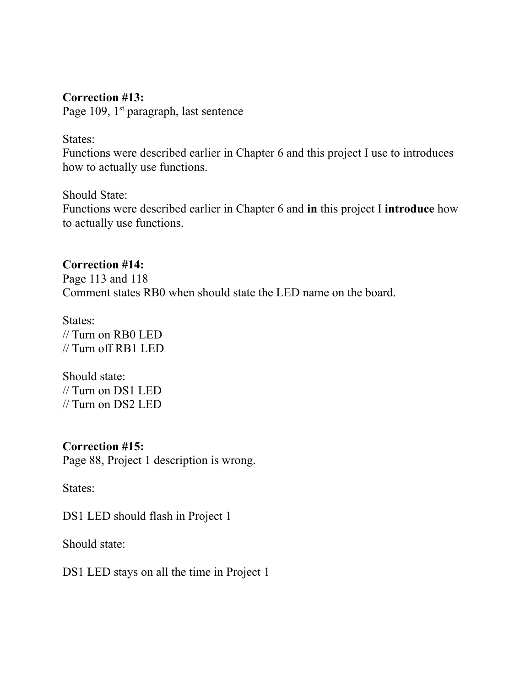### **Correction #13:**

Page 109, 1<sup>st</sup> paragraph, last sentence

States:

Functions were described earlier in Chapter 6 and this project I use to introduces how to actually use functions.

Should State: Functions were described earlier in Chapter 6 and **in** this project I **introduce** how to actually use functions.

### **Correction #14:**

Page 113 and 118 Comment states RB0 when should state the LED name on the board.

States: // Turn on RB0 LED // Turn off RB1 LED

Should state: // Turn on DS1 LED // Turn on DS2 LED

**Correction #15:** Page 88, Project 1 description is wrong.

States:

DS1 LED should flash in Project 1

Should state:

DS1 LED stays on all the time in Project 1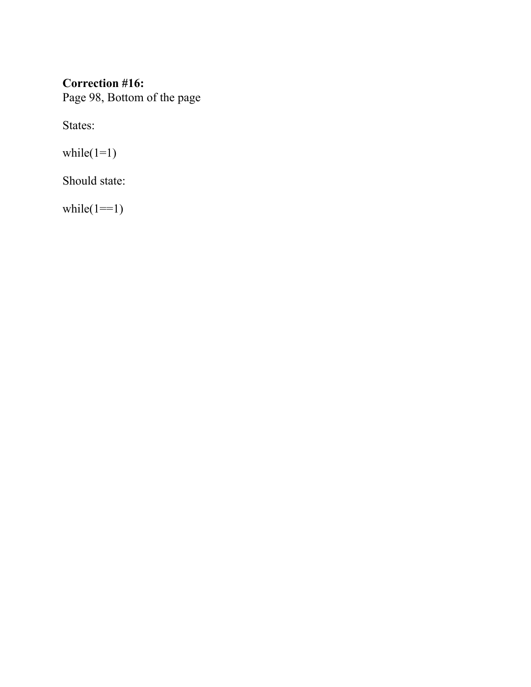# **Correction #16:** Page 98, Bottom of the page

States:

while( $1=1$ )

Should state:

while( $1 == 1$ )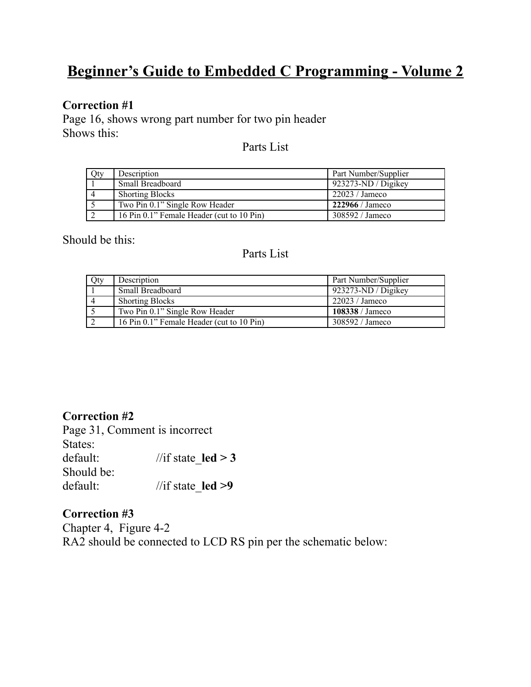# **Beginner's Guide to Embedded C Programming - Volume 2**

### **Correction #1**

Page 16, shows wrong part number for two pin header Shows this:

Parts List

| Qty | Description                               | Part Number/Supplier     |
|-----|-------------------------------------------|--------------------------|
|     | <b>Small Breadboard</b>                   | 923273-ND / Digikey      |
|     | <b>Shorting Blocks</b>                    | 22023 / James            |
|     | Two Pin 0.1" Single Row Header            | $222966 / \text{Jameso}$ |
|     | 16 Pin 0.1" Female Header (cut to 10 Pin) | 308592 / Janeco          |

Should be this:

#### Parts List

| Qty | Description                               | Part Number/Supplier |
|-----|-------------------------------------------|----------------------|
|     | <b>Small Breadboard</b>                   | $923273-ND/D$ igikey |
|     | <b>Shorting Blocks</b>                    | 22023 / Jameco       |
|     | Two Pin 0.1" Single Row Header            | 108338 / Jameco      |
|     | 16 Pin 0.1" Female Header (cut to 10 Pin) | 308592 / Jameco      |

**Correction #2** Page 31, Comment is incorrect

|            | rage 31, Commient is incorrect |
|------------|--------------------------------|
| States:    |                                |
| default:   | //if state $\text{led } > 3$   |
| Should be: |                                |
| default:   | //if state $led$ >9            |

# **Correction #3**

Chapter 4, Figure 4-2 RA2 should be connected to LCD RS pin per the schematic below: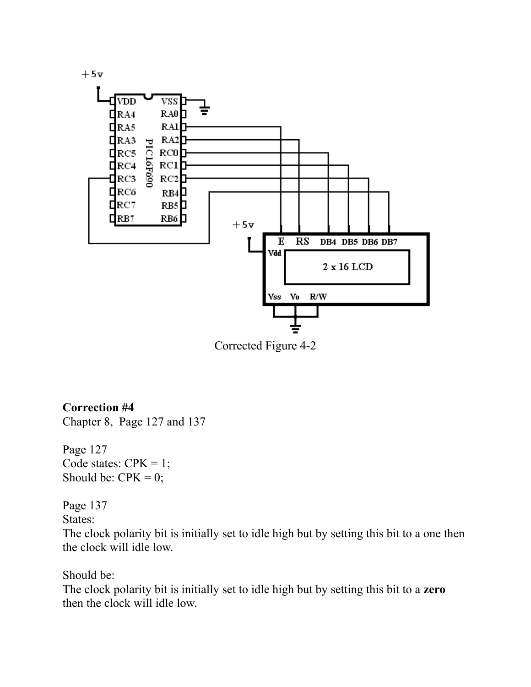

Corrected Figure 4-2

# **Correction #4**

Chapter 8, Page 127 and 137

Page 127 Code states:  $CPK = 1$ ; Should be:  $CPK = 0$ ;

Page 137

States:

The clock polarity bit is initially set to idle high but by setting this bit to a one then the clock will idle low.

Should be:

The clock polarity bit is initially set to idle high but by setting this bit to a **zero** then the clock will idle low.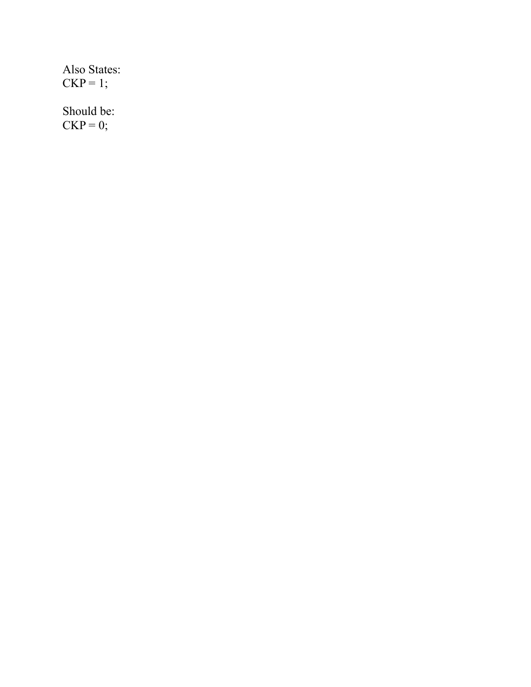|             | Also States: |
|-------------|--------------|
| $CKP = 1$ : |              |

Should be:  $CKP = 0;$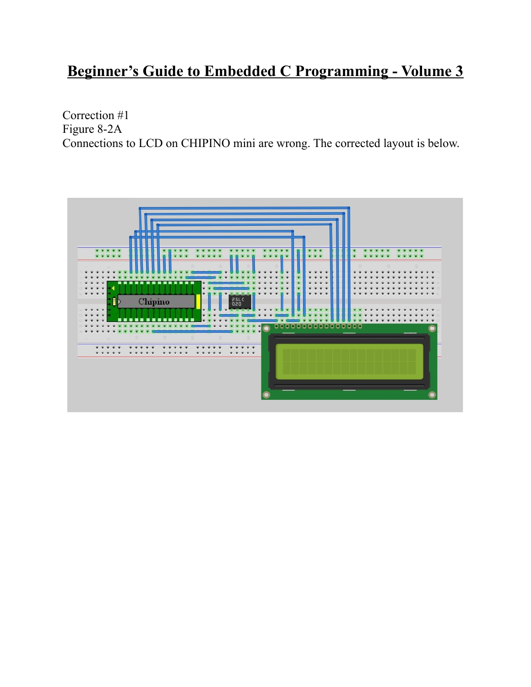# **Beginner's Guide to Embedded C Programming - Volume 3**

Correction #1 Figure 8-2A Connections to LCD on CHIPINO mini are wrong. The corrected layout is below.